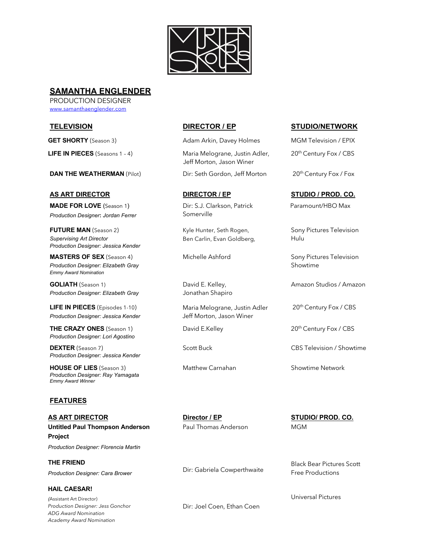

# **SAMANTHA ENGLENDER**

PRODUCTION DESIGNER www.samanthaenglender.com

**DAN THE WEATHERMAN** (Pilot) Dir: Seth Gordon, Jeff Morton 20<sup>th</sup> Century Fox / Fox

**MADE FOR LOVE** (Season 1) *Production Designer***:** *Jordan Ferrer*

**FUTURE MAN** (Season 2) Kyle Hunter, Seth Rogen, Sony Pictures Television **Supervising Art Director Ben Carlin, Evan Goldberg, Supervising Art Director** and Ben Carlin, Evan Goldberg, *Production Designer: Jessica Kender*

**MASTERS OF SEX** (Season 4) *Production Designer: Elizabeth Gray Emmy Award Nomination*

**GOLIATH** (Season 1) *Production Designer: Elizabeth Gray*

**LIFE IN PIECES** (Episodes 1-10) *Production Designer: Jessica Kender*

**THE CRAZY ONES** (Season 1) David E.Kelley 20th Century Fox / CBS *Production Designer: Lori Agostino*

**DEXTER** (Season 7) Scott Buck Scott Buck CBS Television / Showtime *Production Designer: Jessica Kender*

**HOUSE OF LIES** (Season 3) Matthew Carnahan Showtime Network *Production Designer: Ray Yamagata Emmy Award Winner*

## **FEATURES**

**AS ART DIRECTOR Untitled Paul Thompson Anderson Project** *Production Designer: Florencia Martin*

**THE FRIEND**

*Production Designer: Cara Brower*

**HAIL CAESAR!** *(*Assistant Art Director) *Production Designer: Jess Gonchor ADG Award Nomination Academy Award Nomination*

**GET SHORTY** (Season 3) Adam Arkin, Davey Holmes MGM Television / EPIX **LIFE IN PIECES** (Seasons 1 - 4) Maria Melograne, Justin Adler, Jeff Morton, Jason Winer

Dir: S.J. Clarkson, Patrick Somerville

David E. Kelley, Jonathan Shapiro

Maria Melograne, Justin Adler Jeff Morton, Jason Winer

### **TELEVISION DIRECTOR / EP STUDIO/NETWORK**

20th Century Fox / CBS

## **AS ART DIRECTOR DIRECTOR / EP STUDIO / PROD. CO.**

Paramount/HBO Max

Michelle Ashford Sony Pictures Television Showtime

Amazon Studios / Amazon

20th Century Fox / CBS

**Director / EP** Paul Thomas Anderson

Dir: Gabriela Cowperthwaite

Dir: Joel Coen, Ethan Coen

**STUDIO/ PROD. CO.** MGM

Black Bear Pictures Scott Free Productions

Universal Pictures